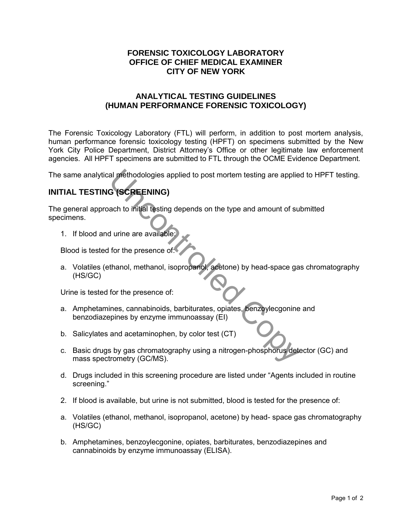## **FORENSIC TOXICOLOGY LABORATORY OFFICE OF CHIEF MEDICAL EXAMINER CITY OF NEW YORK**

## **ANALYTICAL TESTING GUIDELINES (HUMAN PERFORMANCE FORENSIC TOXICOLOGY)**

The Forensic Toxicology Laboratory (FTL) will perform, in addition to post mortem analysis, human performance forensic toxicology testing (HPFT) on specimens submitted by the New York City Police Department, District Attorney's Office or other legitimate law enforcement agencies. All HPFT specimens are submitted to FTL through the OCME Evidence Department.

The same analytical methodologies applied to post mortem testing are applied to HPFT testing.

# **INITIAL TESTING (SCREENING)**

The general approach to initial testing depends on the type and amount of submitted specimens. al methodologies applied to post mortem testing are applie<br>
G (SCREENING)<br>
ach to initial testing depends on the type and amount of su<br>
Jurine are available:<br>
for the presence of:<br>
thanol, methanol, isopropanol, acetone) b

1. If blood and urine are available:

Blood is tested for the presence of:

a. Volatiles (ethanol, methanol, isopropanol, acetone) by head-space gas chromatography (HS/GC)

Urine is tested for the presence of:

- a. Amphetamines, cannabinoids, barbiturates, opiates, benzoylecgonine and benzodiazepines by enzyme immunoassay (EI)
- b. Salicylates and acetaminophen, by color test (CT)
- c. Basic drugs by gas chromatography using a nitrogen-phosphorus detector (GC) and mass spectrometry (GC/MS).
- d. Drugs included in this screening procedure are listed under "Agents included in routine screening."
- 2. If blood is available, but urine is not submitted, blood is tested for the presence of:
- a. Volatiles (ethanol, methanol, isopropanol, acetone) by head- space gas chromatography (HS/GC)
- b. Amphetamines, benzoylecgonine, opiates, barbiturates, benzodiazepines and cannabinoids by enzyme immunoassay (ELISA).